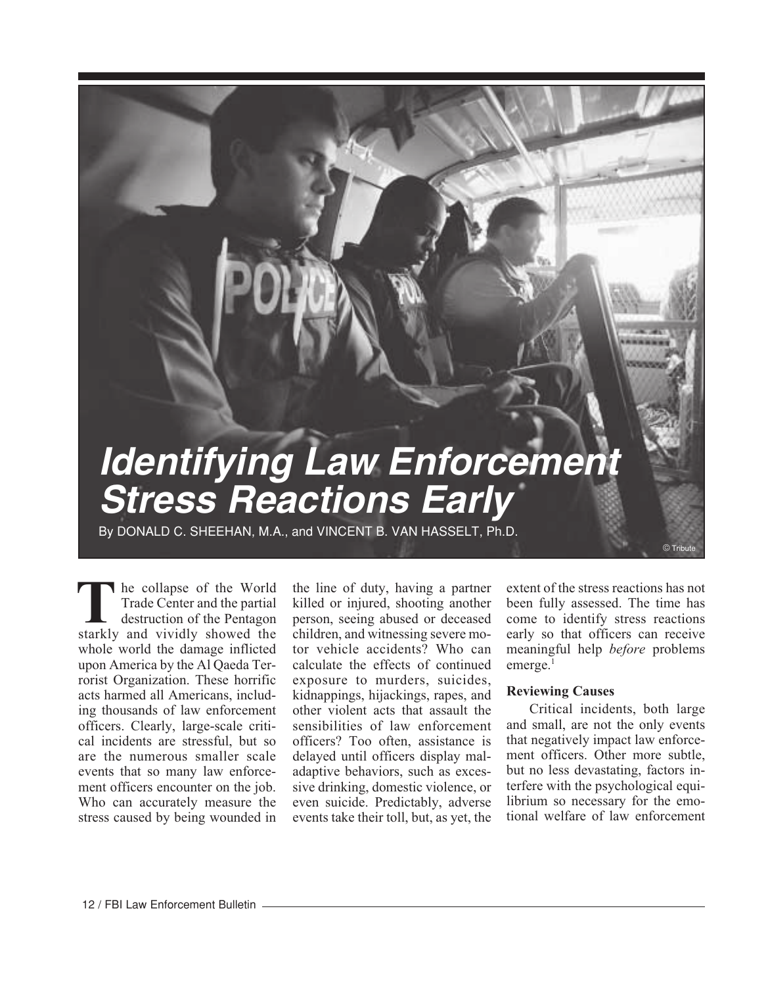# **Identifying Law Enforcement Stress Reactions Early**

By DONALD C. SHEEHAN, M.A., and VINCENT B. VAN HASSELT, Ph.D.

he collapse of the World Trade Center and the partial destruction of the Pentagon **THE STARK STARKLE STARK STARKLE STARKLE STARKLY and vividly showed the starkly and vividly showed the** whole world the damage inflicted upon America by the Al Qaeda Terrorist Organization. These horrific acts harmed all Americans, including thousands of law enforcement officers. Clearly, large-scale critical incidents are stressful, but so are the numerous smaller scale events that so many law enforcement officers encounter on the job. Who can accurately measure the stress caused by being wounded in

the line of duty, having a partner killed or injured, shooting another person, seeing abused or deceased children, and witnessing severe motor vehicle accidents? Who can calculate the effects of continued exposure to murders, suicides, kidnappings, hijackings, rapes, and other violent acts that assault the sensibilities of law enforcement officers? Too often, assistance is delayed until officers display maladaptive behaviors, such as excessive drinking, domestic violence, or even suicide. Predictably, adverse events take their toll, but, as yet, the

extent of the stress reactions has not been fully assessed. The time has come to identify stress reactions early so that officers can receive meaningful help *before* problems emerge.<sup>1</sup>

 $©$  Trib

# **Reviewing Causes**

Critical incidents, both large and small, are not the only events that negatively impact law enforcement officers. Other more subtle, but no less devastating, factors interfere with the psychological equilibrium so necessary for the emotional welfare of law enforcement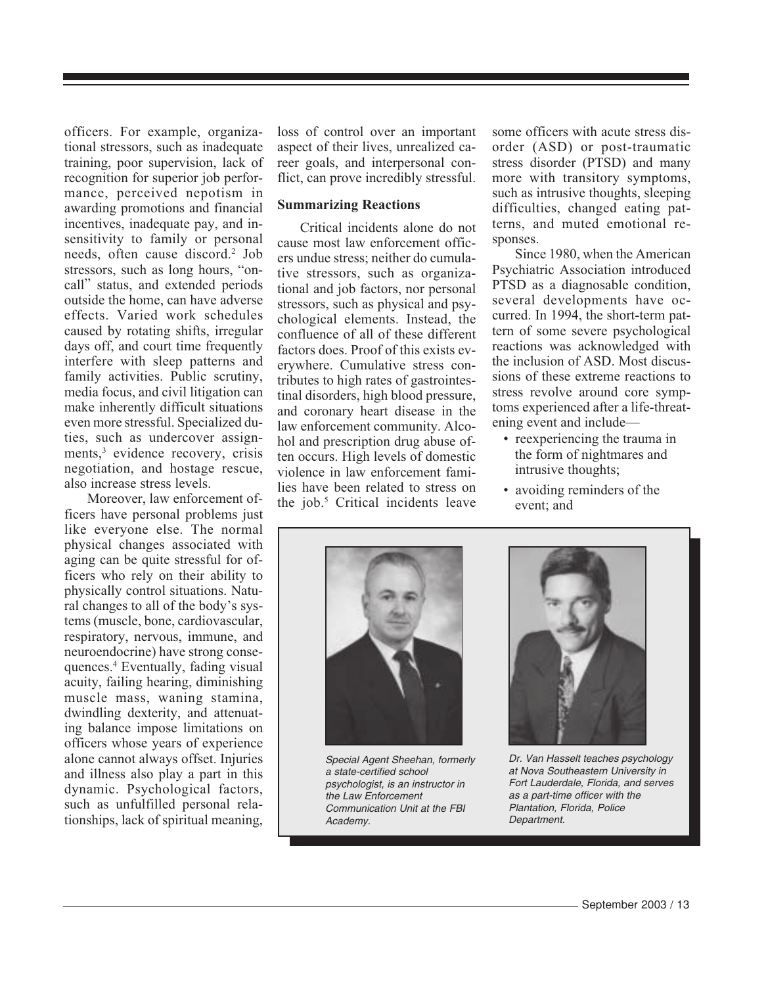officers. For example, organizational stressors, such as inadequate training, poor supervision, lack of recognition for superior job performance, perceived nepotism in awarding promotions and financial incentives, inadequate pay, and insensitivity to family or personal needs, often cause discord.<sup>2</sup> Job stressors, such as long hours, "oncall" status, and extended periods outside the home, can have adverse effects. Varied work schedules caused by rotating shifts, irregular days off, and court time frequently interfere with sleep patterns and family activities. Public scrutiny, media focus, and civil litigation can make inherently difficult situations even more stressful. Specialized duties, such as undercover assignments,<sup>3</sup> evidence recovery, crisis negotiation, and hostage rescue, also increase stress levels.

Moreover, law enforcement officers have personal problems just like everyone else. The normal physical changes associated with aging can be quite stressful for officers who rely on their ability to physically control situations. Natural changes to all of the body's systems (muscle, bone, cardiovascular, respiratory, nervous, immune, and neuroendocrine) have strong consequences.4 Eventually, fading visual acuity, failing hearing, diminishing muscle mass, waning stamina, dwindling dexterity, and attenuating balance impose limitations on officers whose years of experience alone cannot always offset. Injuries and illness also play a part in this dynamic. Psychological factors, such as unfulfilled personal relationships, lack of spiritual meaning,

loss of control over an important aspect of their lives, unrealized career goals, and interpersonal conflict, can prove incredibly stressful.

# **Summarizing Reactions**

Critical incidents alone do not cause most law enforcement officers undue stress; neither do cumulative stressors, such as organizational and job factors, nor personal stressors, such as physical and psychological elements. Instead, the confluence of all of these different factors does. Proof of this exists everywhere. Cumulative stress contributes to high rates of gastrointestinal disorders, high blood pressure, and coronary heart disease in the law enforcement community. Alcohol and prescription drug abuse often occurs. High levels of domestic violence in law enforcement families have been related to stress on the job.5 Critical incidents leave

some officers with acute stress disorder (ASD) or post-traumatic stress disorder (PTSD) and many more with transitory symptoms, such as intrusive thoughts, sleeping difficulties, changed eating patterns, and muted emotional responses.

Since 1980, when the American Psychiatric Association introduced PTSD as a diagnosable condition, several developments have occurred. In 1994, the short-term pattern of some severe psychological reactions was acknowledged with the inclusion of ASD. Most discussions of these extreme reactions to stress revolve around core symptoms experienced after a life-threatening event and include—

- reexperiencing the trauma in the form of nightmares and intrusive thoughts;
- avoiding reminders of the event; and



Special Agent Sheehan, formerly a state-certified school psychologist, is an instructor in the Law Enforcement Communication Unit at the FBI Academy.



Dr. Van Hasselt teaches psychology at Nova Southeastern University in Fort Lauderdale, Florida, and serves as a part-time officer with the Plantation, Florida, Police Department.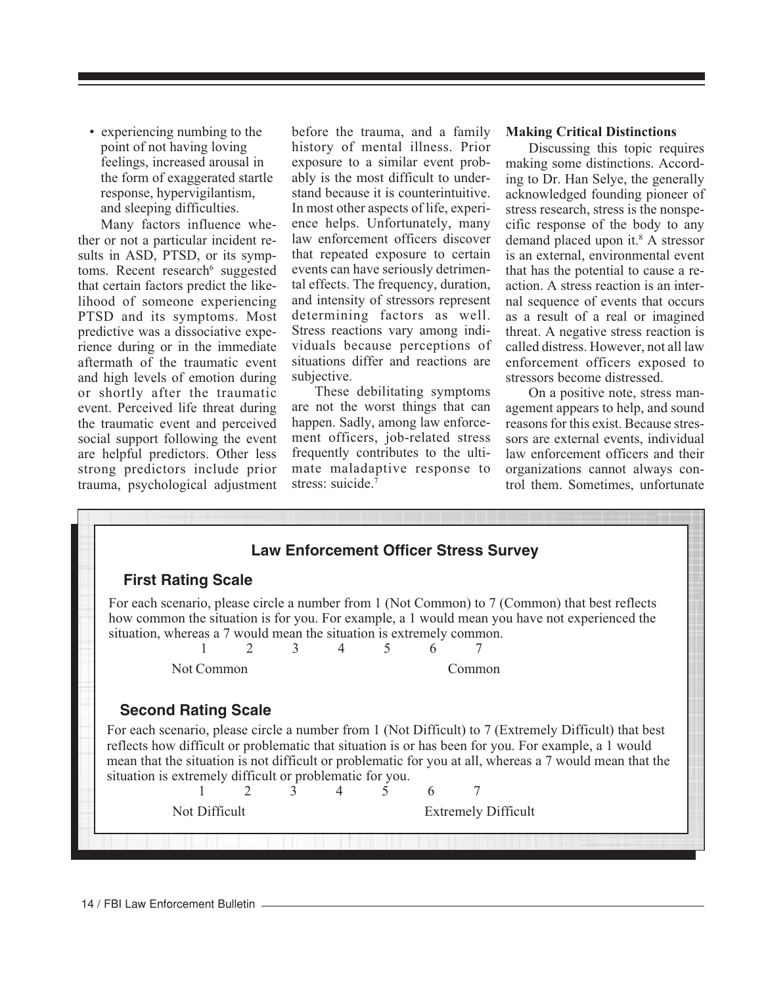• experiencing numbing to the point of not having loving feelings, increased arousal in the form of exaggerated startle response, hypervigilantism, and sleeping difficulties.

Many factors influence whether or not a particular incident results in ASD, PTSD, or its symptoms. Recent research<sup>6</sup> suggested that certain factors predict the likelihood of someone experiencing PTSD and its symptoms. Most predictive was a dissociative experience during or in the immediate aftermath of the traumatic event and high levels of emotion during or shortly after the traumatic event. Perceived life threat during the traumatic event and perceived social support following the event are helpful predictors. Other less strong predictors include prior trauma, psychological adjustment before the trauma, and a family history of mental illness. Prior exposure to a similar event probably is the most difficult to understand because it is counterintuitive. In most other aspects of life, experience helps. Unfortunately, many law enforcement officers discover that repeated exposure to certain events can have seriously detrimental effects. The frequency, duration, and intensity of stressors represent determining factors as well. Stress reactions vary among individuals because perceptions of situations differ and reactions are subjective.

These debilitating symptoms are not the worst things that can happen. Sadly, among law enforcement officers, job-related stress frequently contributes to the ultimate maladaptive response to stress: suicide.<sup>7</sup>

### **Making Critical Distinctions**

Discussing this topic requires making some distinctions. According to Dr. Han Selye, the generally acknowledged founding pioneer of stress research, stress is the nonspecific response of the body to any demand placed upon it.<sup>8</sup> A stressor is an external, environmental event that has the potential to cause a reaction. A stress reaction is an internal sequence of events that occurs as a result of a real or imagined threat. A negative stress reaction is called distress. However, not all law enforcement officers exposed to stressors become distressed.

On a positive note, stress management appears to help, and sound reasons for this exist. Because stressors are external events, individual law enforcement officers and their organizations cannot always control them. Sometimes, unfortunate

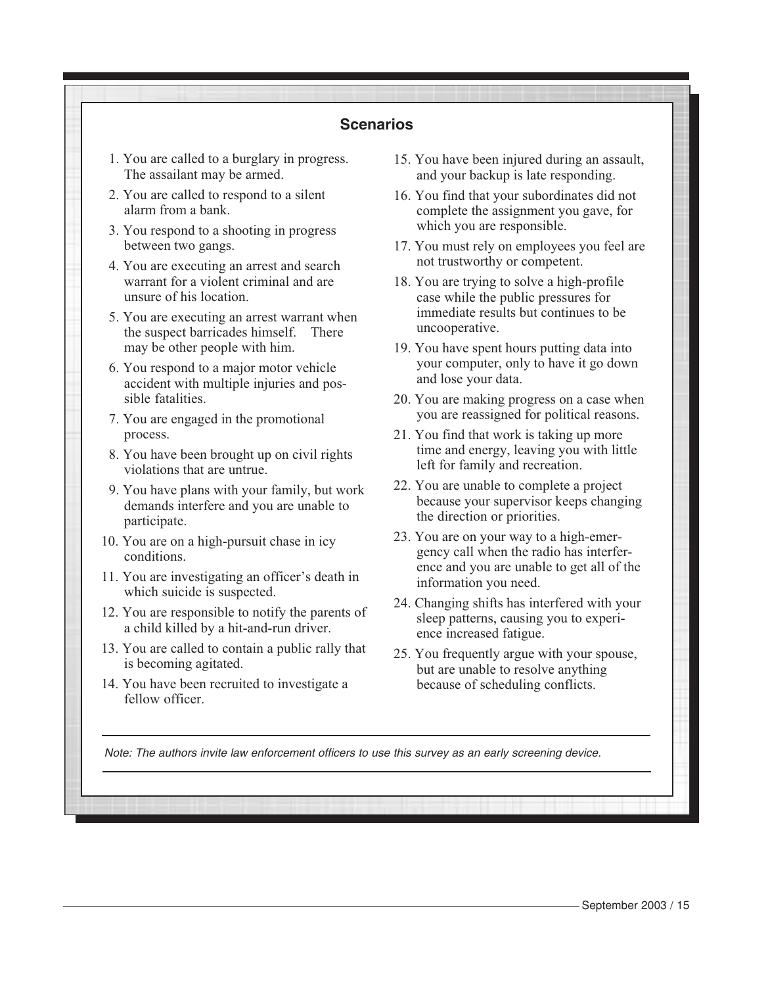| <b>Scenarios</b>                                                                            |                                                                                                                   |
|---------------------------------------------------------------------------------------------|-------------------------------------------------------------------------------------------------------------------|
| 1. You are called to a burglary in progress.                                                | 15. You have been injured during an assault,                                                                      |
| The assailant may be armed.                                                                 | and your backup is late responding.                                                                               |
| 2. You are called to respond to a silent                                                    | 16. You find that your subordinates did not                                                                       |
| alarm from a bank.                                                                          | complete the assignment you gave, for                                                                             |
| 3. You respond to a shooting in progress                                                    | which you are responsible.                                                                                        |
| between two gangs.                                                                          | 17. You must rely on employees you feel are                                                                       |
| 4. You are executing an arrest and search                                                   | not trustworthy or competent.                                                                                     |
| warrant for a violent criminal and are                                                      | 18. You are trying to solve a high-profile                                                                        |
| unsure of his location.                                                                     | case while the public pressures for                                                                               |
| 5. You are executing an arrest warrant when<br>the suspect barricades himself.<br>There     | immediate results but continues to be<br>uncooperative.                                                           |
| may be other people with him.                                                               | 19. You have spent hours putting data into                                                                        |
| 6. You respond to a major motor vehicle                                                     | your computer, only to have it go down                                                                            |
| accident with multiple injuries and pos-                                                    | and lose your data.                                                                                               |
| sible fatalities.                                                                           | 20. You are making progress on a case when                                                                        |
| 7. You are engaged in the promotional                                                       | you are reassigned for political reasons.                                                                         |
| process.                                                                                    | 21. You find that work is taking up more                                                                          |
| 8. You have been brought up on civil rights                                                 | time and energy, leaving you with little                                                                          |
| violations that are untrue.                                                                 | left for family and recreation.                                                                                   |
| 9. You have plans with your family, but work                                                | 22. You are unable to complete a project                                                                          |
| demands interfere and you are unable to                                                     | because your supervisor keeps changing                                                                            |
| participate.                                                                                | the direction or priorities.                                                                                      |
| 10. You are on a high-pursuit chase in icy                                                  | 23. You are on your way to a high-emer-                                                                           |
| conditions.                                                                                 | gency call when the radio has interfer-                                                                           |
| 11. You are investigating an officer's death in                                             | ence and you are unable to get all of the                                                                         |
| which suicide is suspected.                                                                 | information you need.                                                                                             |
| 12. You are responsible to notify the parents of<br>a child killed by a hit-and-run driver. | 24. Changing shifts has interfered with your<br>sleep patterns, causing you to experi-<br>ence increased fatigue. |
| 13. You are called to contain a public rally that                                           | 25. You frequently argue with your spouse,                                                                        |
| is becoming agitated.                                                                       | but are unable to resolve anything                                                                                |
| 14. You have been recruited to investigate a<br>fellow officer.                             | because of scheduling conflicts.                                                                                  |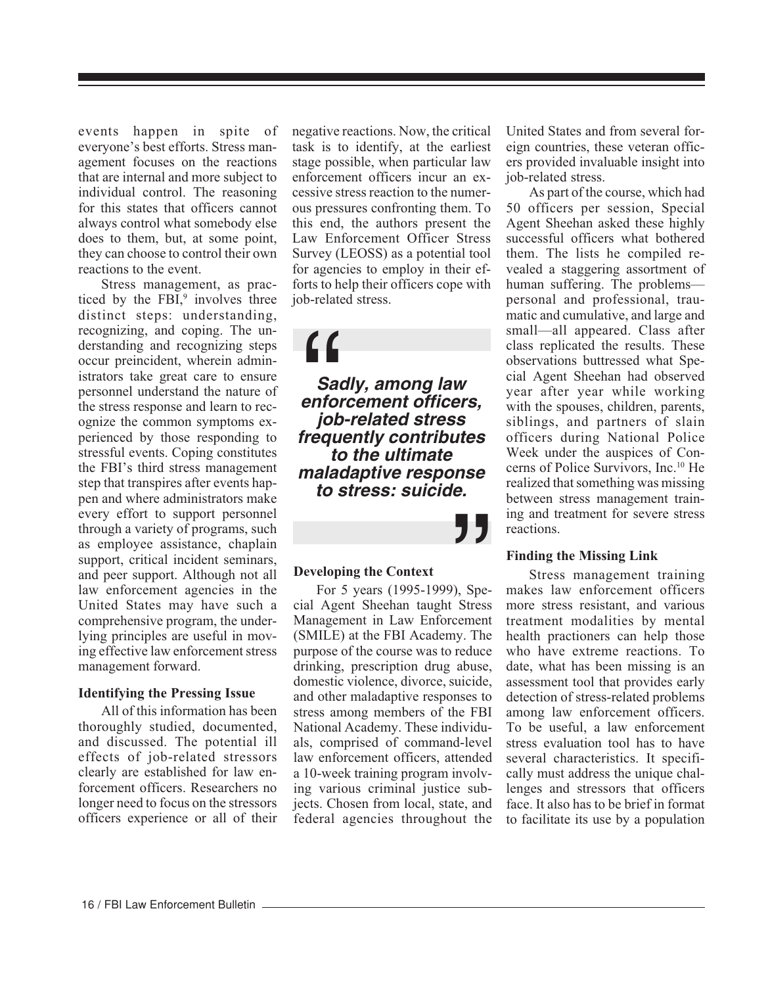events happen in spite of everyone's best efforts. Stress management focuses on the reactions that are internal and more subject to individual control. The reasoning for this states that officers cannot always control what somebody else does to them, but, at some point, they can choose to control their own reactions to the event.

Stress management, as practiced by the  $FBI$ ,<sup>9</sup> involves three distinct steps: understanding, recognizing, and coping. The understanding and recognizing steps occur preincident, wherein administrators take great care to ensure personnel understand the nature of the stress response and learn to recognize the common symptoms experienced by those responding to stressful events. Coping constitutes the FBI's third stress management step that transpires after events happen and where administrators make every effort to support personnel through a variety of programs, such as employee assistance, chaplain support, critical incident seminars, and peer support. Although not all law enforcement agencies in the United States may have such a comprehensive program, the underlying principles are useful in moving effective law enforcement stress management forward.

# **Identifying the Pressing Issue**

All of this information has been thoroughly studied, documented, and discussed. The potential ill effects of job-related stressors clearly are established for law enforcement officers. Researchers no longer need to focus on the stressors officers experience or all of their negative reactions. Now, the critical task is to identify, at the earliest stage possible, when particular law enforcement officers incur an excessive stress reaction to the numerous pressures confronting them. To this end, the authors present the Law Enforcement Officer Stress Survey (LEOSS) as a potential tool for agencies to employ in their efforts to help their officers cope with job-related stress.

**Sadly, among law enforcement officers, job-related stress frequently contributes to the ultimate maladaptive response to stress: suicide.**  $\begin{array}{c} \begin{array}{c} \text{G}\\ \text{Sac}\\ \text{enfo}\\ \text{job}\\ \text{frequency} \end{array} \end{array}$ 

"

# **Developing the Context**

For 5 years (1995-1999), Special Agent Sheehan taught Stress Management in Law Enforcement (SMILE) at the FBI Academy. The purpose of the course was to reduce drinking, prescription drug abuse, domestic violence, divorce, suicide, and other maladaptive responses to stress among members of the FBI National Academy. These individuals, comprised of command-level law enforcement officers, attended a 10-week training program involving various criminal justice subjects. Chosen from local, state, and federal agencies throughout the United States and from several foreign countries, these veteran officers provided invaluable insight into job-related stress.

As part of the course, which had 50 officers per session, Special Agent Sheehan asked these highly successful officers what bothered them. The lists he compiled revealed a staggering assortment of human suffering. The problems personal and professional, traumatic and cumulative, and large and small—all appeared. Class after class replicated the results. These observations buttressed what Special Agent Sheehan had observed year after year while working with the spouses, children, parents, siblings, and partners of slain officers during National Police Week under the auspices of Concerns of Police Survivors, Inc.10 He realized that something was missing between stress management training and treatment for severe stress reactions.

# **Finding the Missing Link**

Stress management training makes law enforcement officers more stress resistant, and various treatment modalities by mental health practioners can help those who have extreme reactions. To date, what has been missing is an assessment tool that provides early detection of stress-related problems among law enforcement officers. To be useful, a law enforcement stress evaluation tool has to have several characteristics. It specifically must address the unique challenges and stressors that officers face. It also has to be brief in format to facilitate its use by a population